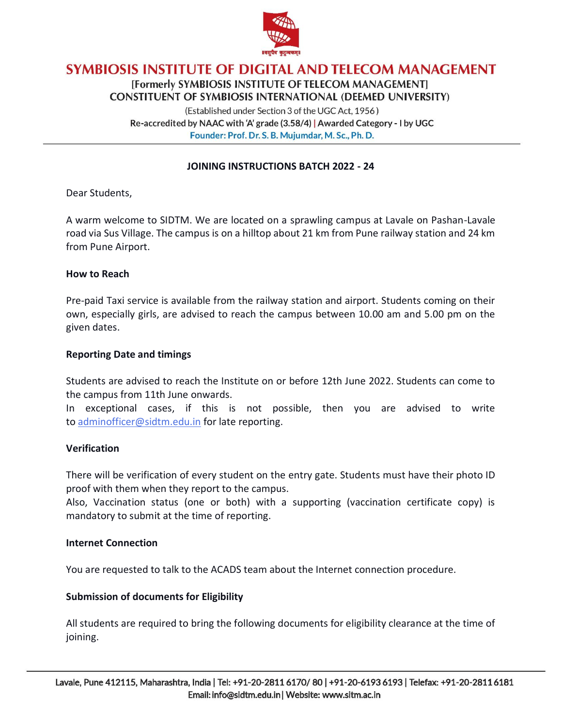

[Formerly SYMBIOSIS INSTITUTE OF TELECOM MANAGEMENT] **CONSTITUENT OF SYMBIOSIS INTERNATIONAL (DEEMED UNIVERSITY)** 

(Established under Section 3 of the UGC Act, 1956) Re-accredited by NAAC with 'A' grade (3.58/4) | Awarded Category - I by UGC Founder: Prof. Dr. S. B. Mujumdar, M. Sc., Ph. D.

#### **JOINING INSTRUCTIONS BATCH 2022 - 24**

Dear Students,

A warm welcome to SIDTM. We are located on a sprawling campus at Lavale on Pashan-Lavale road via Sus Village. The campus is on a hilltop about 21 km from Pune railway station and 24 km from Pune Airport.

#### **How to Reach**

Pre-paid Taxi service is available from the railway station and airport. Students coming on their own, especially girls, are advised to reach the campus between 10.00 am and 5.00 pm on the given dates.

#### **Reporting Date and timings**

Students are advised to reach the Institute on or before 12th June 2022. Students can come to the campus from 11th June onwards.

In exceptional cases, if this is not possible, then you are advised to write to [adminofficer@sidtm.edu.in](mailto:adminofficer@sidtm.edu.in) for late reporting.

#### **Verification**

There will be verification of every student on the entry gate. Students must have their photo ID proof with them when they report to the campus.

Also, Vaccination status (one or both) with a supporting (vaccination certificate copy) is mandatory to submit at the time of reporting.

#### **Internet Connection**

You are requested to talk to the ACADS team about the Internet connection procedure.

#### **Submission of documents for Eligibility**

All students are required to bring the following documents for eligibility clearance at the time of joining.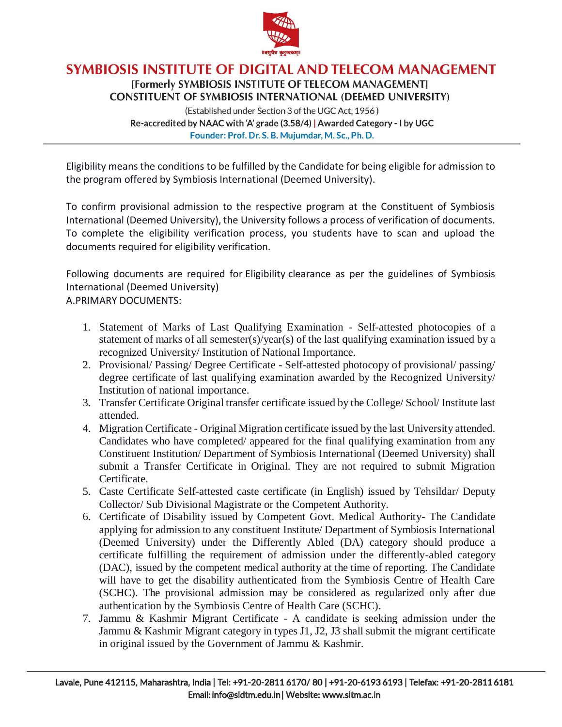

[Formerly SYMBIOSIS INSTITUTE OF TELECOM MANAGEMENT] **CONSTITUENT OF SYMBIOSIS INTERNATIONAL (DEEMED UNIVERSITY)** 

(Established under Section 3 of the UGC Act, 1956) Re-accredited by NAAC with 'A' grade (3.58/4) | Awarded Category - I by UGC Founder: Prof. Dr. S. B. Mujumdar, M. Sc., Ph. D.

Eligibility means the conditions to be fulfilled by the Candidate for being eligible for admission to the program offered by Symbiosis International (Deemed University).

To confirm provisional admission to the respective program at the Constituent of Symbiosis International (Deemed University), the University follows a process of verification of documents. To complete the eligibility verification process, you students have to scan and upload the documents required for eligibility verification.

Following documents are required for Eligibility clearance as per the guidelines of Symbiosis International (Deemed University)

A.PRIMARY DOCUMENTS:

- 1. Statement of Marks of Last Qualifying Examination Self-attested photocopies of a statement of marks of all semester(s)/year(s) of the last qualifying examination issued by a recognized University/ Institution of National Importance.
- 2. Provisional/ Passing/ Degree Certificate Self-attested photocopy of provisional/ passing/ degree certificate of last qualifying examination awarded by the Recognized University/ Institution of national importance.
- 3. Transfer Certificate Original transfer certificate issued by the College/ School/ Institute last attended.
- 4. Migration Certificate Original Migration certificate issued by the last University attended. Candidates who have completed/ appeared for the final qualifying examination from any Constituent Institution/ Department of Symbiosis International (Deemed University) shall submit a Transfer Certificate in Original. They are not required to submit Migration Certificate.
- 5. Caste Certificate Self-attested caste certificate (in English) issued by Tehsildar/ Deputy Collector/ Sub Divisional Magistrate or the Competent Authority.
- 6. Certificate of Disability issued by Competent Govt. Medical Authority- The Candidate applying for admission to any constituent Institute/ Department of Symbiosis International (Deemed University) under the Differently Abled (DA) category should produce a certificate fulfilling the requirement of admission under the differently-abled category (DAC), issued by the competent medical authority at the time of reporting. The Candidate will have to get the disability authenticated from the Symbiosis Centre of Health Care (SCHC). The provisional admission may be considered as regularized only after due authentication by the Symbiosis Centre of Health Care (SCHC).
- 7. Jammu & Kashmir Migrant Certificate A candidate is seeking admission under the Jammu & Kashmir Migrant category in types J1, J2, J3 shall submit the migrant certificate in original issued by the Government of Jammu & Kashmir.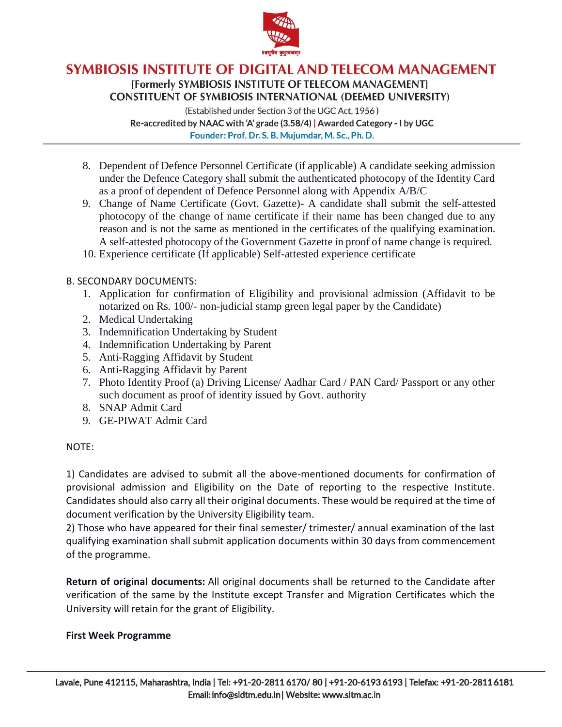

[Formerly SYMBIOSIS INSTITUTE OF TELECOM MANAGEMENT] **CONSTITUENT OF SYMBIOSIS INTERNATIONAL (DEEMED UNIVERSITY)** 

(Established under Section 3 of the UGC Act, 1956) Re-accredited by NAAC with 'A' grade (3.58/4) | Awarded Category - I by UGC Founder: Prof. Dr. S. B. Mujumdar, M. Sc., Ph. D.

- 8. Dependent of Defence Personnel Certificate (if applicable) A candidate seeking admission under the Defence Category shall submit the authenticated photocopy of the Identity Card as a proof of dependent of Defence Personnel along with Appendix A/B/C
- 9. Change of Name Certificate (Govt. Gazette)- A candidate shall submit the self-attested photocopy of the change of name certificate if their name has been changed due to any reason and is not the same as mentioned in the certificates of the qualifying examination. A self-attested photocopy of the Government Gazette in proof of name change is required.
- 10. Experience certificate (If applicable) Self-attested experience certificate

### B. SECONDARY DOCUMENTS:

- 1. Application for confirmation of Eligibility and provisional admission (Affidavit to be notarized on Rs. 100/- non-judicial stamp green legal paper by the Candidate)
- 2. Medical Undertaking
- 3. Indemnification Undertaking by Student
- 4. Indemnification Undertaking by Parent
- 5. Anti-Ragging Affidavit by Student
- 6. Anti-Ragging Affidavit by Parent
- 7. Photo Identity Proof (a) Driving License/ Aadhar Card / PAN Card/ Passport or any other such document as proof of identity issued by Govt. authority
- 8. SNAP Admit Card
- 9. GE-PIWAT Admit Card

## NOTE:

1) Candidates are advised to submit all the above-mentioned documents for confirmation of provisional admission and Eligibility on the Date of reporting to the respective Institute. Candidates should also carry all their original documents. These would be required at the time of document verification by the University Eligibility team.

2) Those who have appeared for their final semester/ trimester/ annual examination of the last qualifying examination shall submit application documents within 30 days from commencement of the programme.

**Return of original documents:** All original documents shall be returned to the Candidate after verification of the same by the Institute except Transfer and Migration Certificates which the University will retain for the grant of Eligibility.

#### **First Week Programme**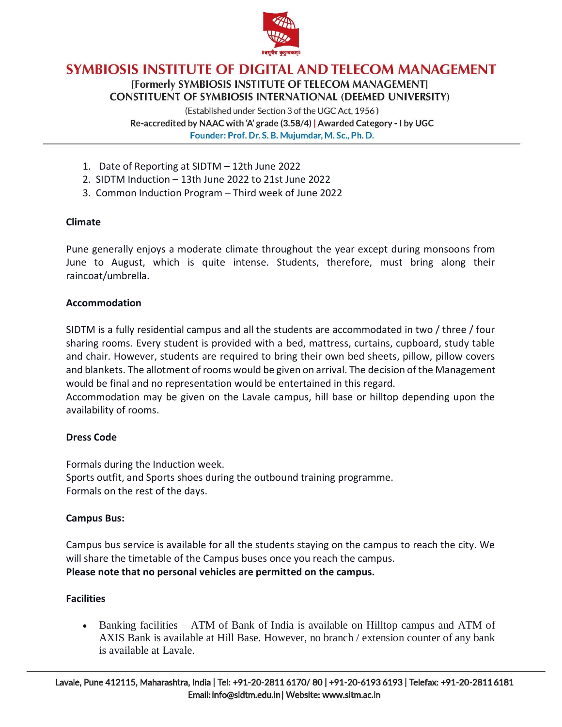

## SYMBIOSIS INSTITUTE OF DIGITAL AND TELECOM MANAGEMENT [Formerly SYMBIOSIS INSTITUTE OF TELECOM MANAGEMENT] **CONSTITUENT OF SYMBIOSIS INTERNATIONAL (DEEMED UNIVERSITY)**

(Established under Section 3 of the UGC Act, 1956) Re-accredited by NAAC with 'A' grade (3.58/4) | Awarded Category - I by UGC Founder: Prof. Dr. S. B. Mujumdar, M. Sc., Ph. D.

- 1. Date of Reporting at SIDTM 12th June 2022
- 2. SIDTM Induction 13th June 2022 to 21st June 2022
- 3. Common Induction Program Third week of June 2022

#### **Climate**

Pune generally enjoys a moderate climate throughout the year except during monsoons from June to August, which is quite intense. Students, therefore, must bring along their raincoat/umbrella.

#### **Accommodation**

SIDTM is a fully residential campus and all the students are accommodated in two / three / four sharing rooms. Every student is provided with a bed, mattress, curtains, cupboard, study table and chair. However, students are required to bring their own bed sheets, pillow, pillow covers and blankets. The allotment of rooms would be given on arrival. The decision of the Management would be final and no representation would be entertained in this regard.

Accommodation may be given on the Lavale campus, hill base or hilltop depending upon the availability of rooms.

#### **Dress Code**

Formals during the Induction week. Sports outfit, and Sports shoes during the outbound training programme. Formals on the rest of the days.

#### **Campus Bus:**

Campus bus service is available for all the students staying on the campus to reach the city. We will share the timetable of the Campus buses once you reach the campus. **Please note that no personal vehicles are permitted on the campus.**

#### **Facilities**

• Banking facilities – ATM of Bank of India is available on Hilltop campus and ATM of AXIS Bank is available at Hill Base. However, no branch / extension counter of any bank is available at Lavale.